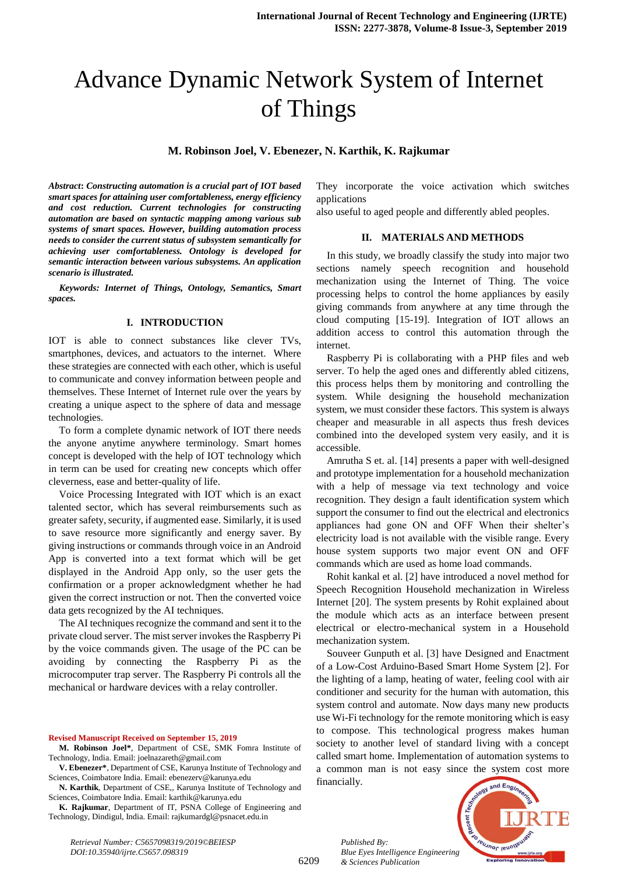# Advance Dynamic Network System of Internet of Things

**M. Robinson Joel, V. Ebenezer, N. Karthik, K. Rajkumar**

*Abstract***:** *Constructing automation is a crucial part of IOT based smart spaces for attaining user comfortableness, energy efficiency and cost reduction. Current technologies for constructing automation are based on syntactic mapping among various sub systems of smart spaces. However, building automation process needs to consider the current status of subsystem semantically for achieving user comfortableness. Ontology is developed for semantic interaction between various subsystems. An application scenario is illustrated.*

*Keywords: Internet of Things, Ontology, Semantics, Smart spaces.* 

## **I. INTRODUCTION**

IOT is able to connect substances like clever TVs, smartphones, devices, and actuators to the internet. Where these strategies are connected with each other, which is useful to communicate and convey information between people and themselves. These Internet of Internet rule over the years by creating a unique aspect to the sphere of data and message technologies.

To form a complete dynamic network of IOT there needs the anyone anytime anywhere terminology. Smart homes concept is developed with the help of IOT technology which in term can be used for creating new concepts which offer cleverness, ease and better-quality of life.

Voice Processing Integrated with IOT which is an exact talented sector, which has several reimbursements such as greater safety, security, if augmented ease. Similarly, it is used to save resource more significantly and energy saver. By giving instructions or commands through voice in an Android App is converted into a text format which will be get displayed in the Android App only, so the user gets the confirmation or a proper acknowledgment whether he had given the correct instruction or not. Then the converted voice data gets recognized by the AI techniques.

The AI techniques recognize the command and sent it to the private cloud server. The mist server invokes the Raspberry Pi by the voice commands given. The usage of the PC can be avoiding by connecting the Raspberry Pi as the microcomputer trap server. The Raspberry Pi controls all the mechanical or hardware devices with a relay controller.

**Revised Manuscript Received on September 15, 2019**

**N. Karthik**, Department of CSE,, Karunya Institute of Technology and Sciences, Coimbatore India. Email: [karthik@karunya.edu](mailto:karthik@karunya.edu)

**K. Rajkumar**, Department of IT, PSNA College of Engineering and Technology, Dindigul, India. Email: rajkumardgl@psnacet.edu.in

*Retrieval Number: C5657098319/2019©BEIESP DOI:10.35940/ijrte.C5657.098319*

They incorporate the voice activation which switches applications

also useful to aged people and differently abled peoples.

## **II. MATERIALS AND METHODS**

In this study, we broadly classify the study into major two sections namely speech recognition and household mechanization using the Internet of Thing. The voice processing helps to control the home appliances by easily giving commands from anywhere at any time through the cloud computing [15-19]. Integration of IOT allows an addition access to control this automation through the internet.

Raspberry Pi is collaborating with a PHP files and web server. To help the aged ones and differently abled citizens, this process helps them by monitoring and controlling the system. While designing the household mechanization system, we must consider these factors. This system is always cheaper and measurable in all aspects thus fresh devices combined into the developed system very easily, and it is accessible.

Amrutha S et. al. [14] presents a paper with well-designed and prototype implementation for a household mechanization with a help of message via text technology and voice recognition. They design a fault identification system which support the consumer to find out the electrical and electronics appliances had gone ON and OFF When their shelter's electricity load is not available with the visible range. Every house system supports two major event ON and OFF commands which are used as home load commands.

Rohit kankal et al. [2] have introduced a novel method for Speech Recognition Household mechanization in Wireless Internet [20]. The system presents by Rohit explained about the module which acts as an interface between present electrical or electro-mechanical system in a Household mechanization system.

Souveer Gunputh et al. [3] have Designed and Enactment of a Low-Cost Arduino-Based Smart Home System [2]. For the lighting of a lamp, heating of water, feeling cool with air conditioner and security for the human with automation, this system control and automate. Now days many new products use Wi-Fi technology for the remote monitoring which is easy to compose. This technological progress makes human society to another level of standard living with a concept called smart home. Implementation of automation systems to a common man is not easy since the system cost more financially.

*Published By: Blue Eyes Intelligence Engineering & Sciences Publication* 



**M. Robinson Joel\***, Department of CSE, SMK Fomra Institute of Technology, India. Email: joelnazareth@gmail.com

**V. Ebenezer\***, Department of CSE, Karunya Institute of Technology and Sciences, Coimbatore India. Email: ebenezerv@karunya.edu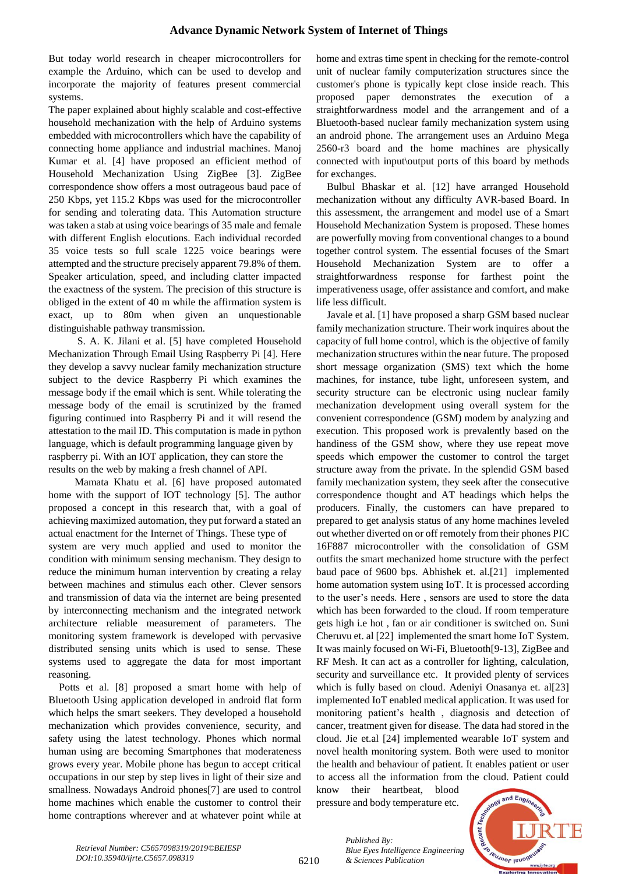But today world research in cheaper microcontrollers for example the Arduino, which can be used to develop and incorporate the majority of features present commercial systems.

The paper explained about highly scalable and cost-effective household mechanization with the help of Arduino systems embedded with microcontrollers which have the capability of connecting home appliance and industrial machines. Manoj Kumar et al. [4] have proposed an efficient method of Household Mechanization Using ZigBee [3]. ZigBee correspondence show offers a most outrageous baud pace of 250 Kbps, yet 115.2 Kbps was used for the microcontroller for sending and tolerating data. This Automation structure was taken a stab at using voice bearings of 35 male and female with different English elocutions. Each individual recorded 35 voice tests so full scale 1225 voice bearings were attempted and the structure precisely apparent 79.8% of them. Speaker articulation, speed, and including clatter impacted the exactness of the system. The precision of this structure is obliged in the extent of 40 m while the affirmation system is exact, up to 80m when given an unquestionable distinguishable pathway transmission.

 S. A. K. Jilani et al. [5] have completed Household Mechanization Through Email Using Raspberry Pi [4]. Here they develop a savvy nuclear family mechanization structure subject to the device Raspberry Pi which examines the message body if the email which is sent. While tolerating the message body of the email is scrutinized by the framed figuring continued into Raspberry Pi and it will resend the attestation to the mail ID. This computation is made in python language, which is default programming language given by raspberry pi. With an IOT application, they can store the results on the web by making a fresh channel of API.

 Mamata Khatu et al. [6] have proposed automated home with the support of IOT technology [5]. The author proposed a concept in this research that, with a goal of achieving maximized automation, they put forward a stated an actual enactment for the Internet of Things. These type of system are very much applied and used to monitor the condition with minimum sensing mechanism. They design to reduce the minimum human intervention by creating a relay between machines and stimulus each other. Clever sensors and transmission of data via the internet are being presented by interconnecting mechanism and the integrated network architecture reliable measurement of parameters. The monitoring system framework is developed with pervasive distributed sensing units which is used to sense. These systems used to aggregate the data for most important reasoning.

Potts et al. [8] proposed a smart home with help of Bluetooth Using application developed in android flat form which helps the smart seekers. They developed a household mechanization which provides convenience, security, and safety using the latest technology. Phones which normal human using are becoming Smartphones that moderateness grows every year. Mobile phone has begun to accept critical occupations in our step by step lives in light of their size and smallness. Nowadays Android phones[7] are used to control home machines which enable the customer to control their home contraptions wherever and at whatever point while at home and extras time spent in checking for the remote-control unit of nuclear family computerization structures since the customer's phone is typically kept close inside reach. This proposed paper demonstrates the execution of a straightforwardness model and the arrangement and of a Bluetooth-based nuclear family mechanization system using an android phone. The arrangement uses an Arduino Mega 2560-r3 board and the home machines are physically connected with input\output ports of this board by methods for exchanges.

Bulbul Bhaskar et al. [12] have arranged Household mechanization without any difficulty AVR-based Board. In this assessment, the arrangement and model use of a Smart Household Mechanization System is proposed. These homes are powerfully moving from conventional changes to a bound together control system. The essential focuses of the Smart Household Mechanization System are to offer a straightforwardness response for farthest point the imperativeness usage, offer assistance and comfort, and make life less difficult.

Javale et al. [1] have proposed a sharp GSM based nuclear family mechanization structure. Their work inquires about the capacity of full home control, which is the objective of family mechanization structures within the near future. The proposed short message organization (SMS) text which the home machines, for instance, tube light, unforeseen system, and security structure can be electronic using nuclear family mechanization development using overall system for the convenient correspondence (GSM) modem by analyzing and execution. This proposed work is prevalently based on the handiness of the GSM show, where they use repeat move speeds which empower the customer to control the target structure away from the private. In the splendid GSM based family mechanization system, they seek after the consecutive correspondence thought and AT headings which helps the producers. Finally, the customers can have prepared to prepared to get analysis status of any home machines leveled out whether diverted on or off remotely from their phones PIC 16F887 microcontroller with the consolidation of GSM outfits the smart mechanized home structure with the perfect baud pace of 9600 bps. Abhishek et. al.[21] implemented home automation system using IoT. It is processed according to the user's needs. Here , sensors are used to store the data which has been forwarded to the cloud. If room temperature gets high i.e hot , fan or air conditioner is switched on. Suni Cheruvu et. al [22] implemented the smart home IoT System. It was mainly focused on Wi-Fi, Bluetooth[9-13], ZigBee and RF Mesh. It can act as a controller for lighting, calculation, security and surveillance etc. It provided plenty of services which is fully based on cloud. Adeniyi Onasanya et. al[23] implemented IoT enabled medical application. It was used for monitoring patient's health , diagnosis and detection of cancer, treatment given for disease. The data had stored in the cloud. Jie et.al [24] implemented wearable IoT system and novel health monitoring system. Both were used to monitor the health and behaviour of patient. It enables patient or user to access all the information from the cloud. Patient could

know their heartbeat, blood pressure and body temperature etc.



*Published By: Blue Eyes Intelligence Engineering & Sciences Publication* 

6210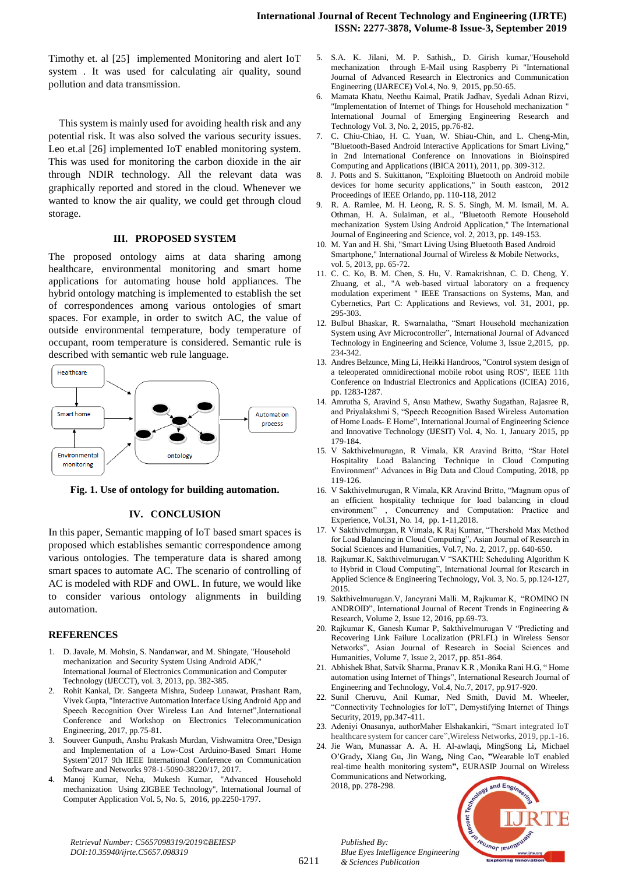Timothy et. al [25] implemented Monitoring and alert IoT system . It was used for calculating air quality, sound pollution and data transmission.

This system is mainly used for avoiding health risk and any potential risk. It was also solved the various security issues. Leo et.al [26] implemented IoT enabled monitoring system. This was used for monitoring the carbon dioxide in the air through NDIR technology. All the relevant data was graphically reported and stored in the cloud. Whenever we wanted to know the air quality, we could get through cloud storage.

#### **III. PROPOSED SYSTEM**

The proposed ontology aims at data sharing among healthcare, environmental monitoring and smart home applications for automating house hold appliances. The hybrid ontology matching is implemented to establish the set of correspondences among various ontologies of smart spaces. For example, in order to switch AC, the value of outside environmental temperature, body temperature of occupant, room temperature is considered. Semantic rule is described with semantic web rule language.



**Fig. 1. Use of ontology for building automation.**

#### **IV. CONCLUSION**

In this paper, Semantic mapping of IoT based smart spaces is proposed which establishes semantic correspondence among various ontologies. The temperature data is shared among smart spaces to automate AC. The scenario of controlling of AC is modeled with RDF and OWL. In future, we would like to consider various ontology alignments in building automation.

#### **REFERENCES**

- 1. D. Javale, M. Mohsin, S. Nandanwar, and M. Shingate, "Household mechanization and Security System Using Android ADK," International Journal of Electronics Communication and Computer Technology (IJECCT), vol. 3, 2013, pp. 382-385.
- 2. Rohit Kankal, Dr. Sangeeta Mishra, Sudeep Lunawat, Prashant Ram, Vivek Gupta, "Interactive Automation Interface Using Android App and Speech Recognition Over Wireless Lan And Internet",International Conference and Workshop on Electronics Telecommunication Engineering, 2017, pp.75-81.
- 3. Souveer Gunputh, Anshu Prakash Murdan, Vishwamitra Oree,"Design and Implementation of a Low-Cost Arduino-Based Smart Home System"2017 9th IEEE International Conference on Communication Software and Networks 978-1-5090-38220/17, 2017.
- 4. Manoj Kumar, Neha, Mukesh Kumar, "Advanced Household mechanization Using ZIGBEE Technology", International Journal of Computer Application Vol. 5, No. 5, 2016, pp.2250-1797.
- 5. S.A. K. Jilani, M. P. Sathish,, D. Girish kumar,"Household mechanization through E-Mail using Raspberry Pi "International Journal of Advanced Research in Electronics and Communication Engineering (IJARECE) Vol.4, No. 9, 2015, pp.50-65.
- 6. Mamata Khatu, Neethu Kaimal, Pratik Jadhav, Syedali Adnan Rizvi, "Implementation of Internet of Things for Household mechanization " International Journal of Emerging Engineering Research and Technology Vol. 3, No. 2, 2015, pp.76-82.
- 7. C. Chiu-Chiao, H. C. Yuan, W. Shiau-Chin, and L. Cheng-Min, "Bluetooth-Based Android Interactive Applications for Smart Living," in 2nd International Conference on Innovations in Bioinspired Computing and Applications (IBICA 2011), 2011, pp. 309-312.
- 8. J. Potts and S. Sukittanon, "Exploiting Bluetooth on Android mobile devices for home security applications," in South eastcon, 2012 Proceedings of IEEE Orlando, pp. 110-118, 2012
- 9. R. A. Ramlee, M. H. Leong, R. S. S. Singh, M. M. Ismail, M. A. Othman, H. A. Sulaiman, et al., "Bluetooth Remote Household mechanization System Using Android Application," The International Journal of Engineering and Science, vol. 2, 2013, pp. 149-153.
- 10. M. Yan and H. Shi, "Smart Living Using Bluetooth Based Android Smartphone," International Journal of Wireless & Mobile Networks, vol. 5, 2013, pp. 65-72.
- 11. C. C. Ko, B. M. Chen, S. Hu, V. Ramakrishnan, C. D. Cheng, Y. Zhuang, et al., "A web-based virtual laboratory on a frequency modulation experiment " IEEE Transactions on Systems, Man, and Cybernetics, Part C: Applications and Reviews, vol. 31, 2001, pp. 295-303.
- 12. Bulbul Bhaskar, R. Swarnalatha, "Smart Household mechanization System using Avr Microcontroller", International Journal of Advanced Technology in Engineering and Science, Volume 3, Issue 2,2015, pp. 234-342.
- 13. Andres Belzunce, Ming Li, Heikki Handroos, "Control system design of a teleoperated omnidirectional mobile robot using ROS", IEEE 11th Conference on Industrial Electronics and Applications (ICIEA) 2016, pp. 1283-1287.
- 14. Amrutha S, Aravind S, Ansu Mathew, Swathy Sugathan, Rajasree R, and Priyalakshmi S, "Speech Recognition Based Wireless Automation of Home Loads- E Home", International Journal of Engineering Science and Innovative Technology (IJESIT) Vol. 4, No. 1, January 2015, pp 179-184.
- 15. V Sakthivelmurugan, R Vimala, KR Aravind Britto, "Star Hotel Hospitality Load Balancing Technique in Cloud Computing Environment" Advances in Big Data and Cloud Computing, 2018, pp 119-126.
- 16. V Sakthivelmurugan, R Vimala, KR Aravind Britto, "Magnum opus of an efficient hospitality technique for load balancing in cloud environment" , Concurrency and Computation: Practice and Experience, Vol.31, No. 14, pp. 1-11,2018.
- 17. V Sakthivelmurgan, R Vimala, K Raj Kumar, "Thershold Max Method for Load Balancing in Cloud Computing", Asian Journal of Research in Social Sciences and Humanities, Vol.7, No. 2, 2017, pp. 640-650.
- 18. Rajkumar.K, Sakthivelmurugan.V "SAKTHI: Scheduling Algorithm K to Hybrid in Cloud Computing", International Journal for Research in Applied Science & Engineering Technology, Vol. 3, No. 5, pp.124-127, 2015.
- 19. Sakthivelmurugan.V, Jancyrani Malli. M, Rajkumar.K, "ROMINO IN ANDROID", International Journal of Recent Trends in Engineering & Research, Volume 2, Issue 12, 2016, pp.69-73.
- 20. Rajkumar K, Ganesh Kumar P, Sakthivelmurugan V "Predicting and Recovering Link Failure Localization (PRLFL) in Wireless Sensor Networks", Asian Journal of Research in Social Sciences and Humanities, Volume 7, Issue 2, 2017, pp. 851-864.
- 21. Abhishek Bhat, Satvik Sharma, Pranav K.R , Monika Rani H.G, " Home automation using Internet of Things", International Research Journal of Engineering and Technology, Vol.4, No.7, 2017, pp.917-920.
- 22. Sunil Cheruvu, Anil Kumar, Ned Smith, David M. Wheeler, "Connectivity Technologies for IoT", Demystifying Internet of Things Security, 2019, pp.347-411.
- 23. Adeniyi Onasanya, authorMaher Elshakankiri, "Smart integrated IoT healthcare system for cancer care",Wireless Networks, 2019, pp.1-16.
- 24. Jie Wan**,** Munassar A. A. H. Al-awlaqi**,** MingSong Li**,** Michael O'Grady**,** Xiang Gu**,** Jin Wang**,** Ning Cao**, "**Wearable IoT enabled real-time health monitoring system**",** EURASIP Journal on Wireless Communications and Networking, 2018, pp. 278-298.



*Retrieval Number: C5657098319/2019©BEIESP DOI:10.35940/ijrte.C5657.098319*

6211

*Published By: Blue Eyes Intelligence Engineering & Sciences Publication*